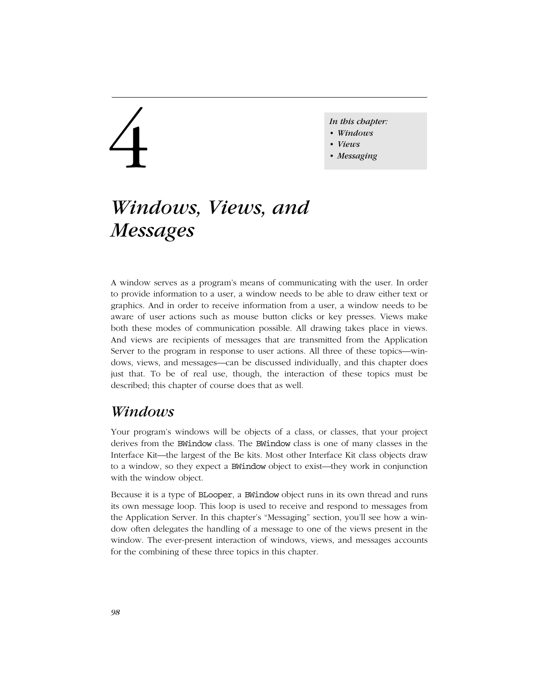# *In this chapt*<br>• Windows<br>• Views<br>• Messaging

- *In this chapter:*
- *Windows*
- 
- 

# *Windows, Views, and*  $Messages$

A window serves as a program's means of communicating with the user. In order to provide information to a user, a window needs to be able to draw either text or graphics. And in order to receive information from a user, a window needs to be aware of user actions such as mouse button clicks or key presses. Views make both these modes of communication possible. All drawing takes place in views. And views are recipients of messages that are transmitted from the Application Server to the program in response to user actions. All three of these topics—windows, views, and messages—can be discussed individually, and this chapter does just that. To be of real use, though, the interaction of these topics must be described; this chapter of course does that as well.

### *Windows*

Your program's windows will be objects of a class, or classes, that your project derives from the BWindow class. The BWindow class is one of many classes in the Interface Kit—the largest of the Be kits. Most other Interface Kit class objects draw to a window, so they expect a BWindow object to exist—they work in conjunction with the window object.

Because it is a type of BLooper, a BWindow object runs in its own thread and runs its own message loop. This loop is used to receive and respond to messages from the Application Server. In this chapter's "Messaging" section, you'll see how a window often delegates the handling of a message to one of the views present in the window. The ever-present interaction of windows, views, and messages accounts for the combining of these three topics in this chapter.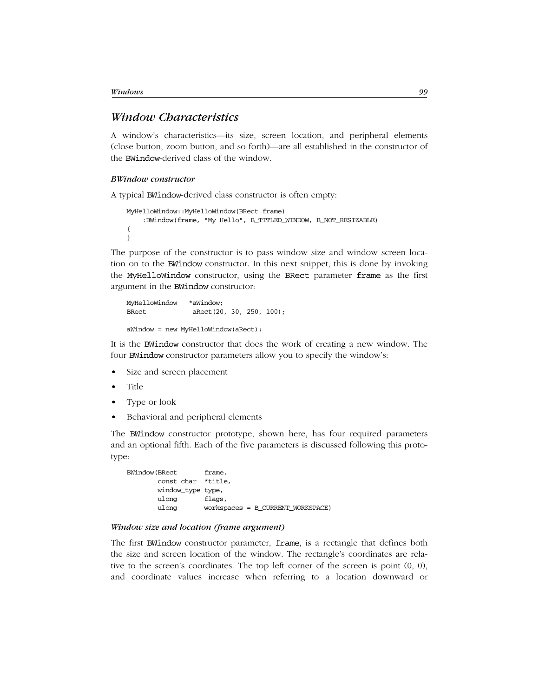#### *Window Characteristics*

A window's characteristics—its size, screen location, and peripheral elements (close button, zoom button, and so forth)—are all established in the constructor of the BWindow-derived class of the window.

#### *BWindow constructor*

A typical BWindow-derived class constructor is often empty:

```
MyHelloWindow::MyHelloWindow(BRect frame)
     :BWindow(frame, "My Hello", B_TITLED_WINDOW, B_NOT_RESIZABLE)
{
}
```
The purpose of the constructor is to pass window size and window screen location on to the BWindow constructor. In this next snippet, this is done by invoking the MyHelloWindow constructor, using the BRect parameter frame as the first argument in the BWindow constructor:

```
MyHelloWindow *aWindow;
BRect aRect(20, 30, 250, 100);
aWindow = new MyHelloWindow(aRect);
```
It is the BWindow constructor that does the work of creating a new window. The four BWindow constructor parameters allow you to specify the window's:

- Size and screen placement
- Title
- Type or look
- Behavioral and peripheral elements

The BWindow constructor prototype, shown here, has four required parameters and an optional fifth. Each of the five parameters is discussed following this prototype:

BWindow(BRect frame, const char \*title, window\_type type, ulong flags, ulong workspaces = B\_CURRENT\_WORKSPACE)

#### *Window size and location (frame argument)*

The first BWindow constructor parameter, frame, is a rectangle that defines both the size and screen location of the window. The rectangle's coordinates are relative to the screen's coordinates. The top left corner of the screen is point (0, 0), and coordinate values increase when referring to a location downward or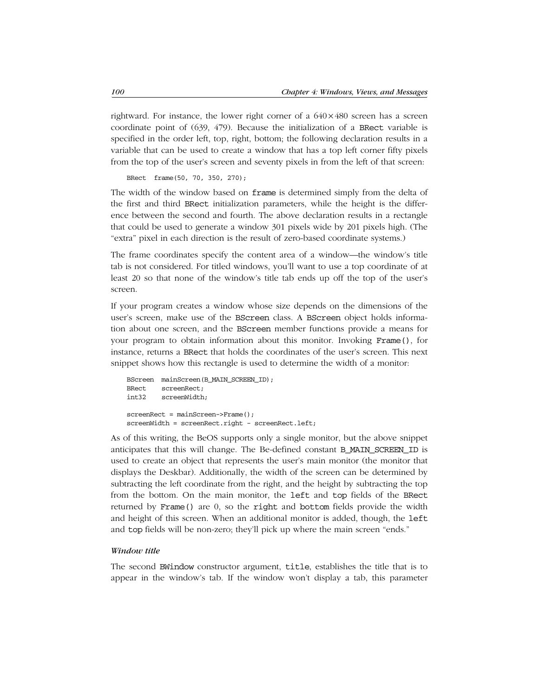rightward. For instance, the lower right corner of a  $640 \times 480$  screen has a screen coordinate point of (639, 479). Because the initialization of a BRect variable is specified in the order left, top, right, bottom; the following declaration results in a variable that can be used to create a window that has a top left corner fifty pixels from the top of the user's screen and seventy pixels in from the left of that screen:

```
BRect frame(50, 70, 350, 270);
```
The width of the window based on frame is determined simply from the delta of the first and third BRect initialization parameters, while the height is the difference between the second and fourth. The above declaration results in a rectangle that could be used to generate a window 301 pixels wide by 201 pixels high. (The "extra" pixel in each direction is the result of zero-based coordinate systems.)

The frame coordinates specify the content area of a window—the window's title tab is not considered. For titled windows, you'll want to use a top coordinate of at least 20 so that none of the window's title tab ends up off the top of the user's screen.

If your program creates a window whose size depends on the dimensions of the user's screen, make use of the BScreen class. A BScreen object holds information about one screen, and the BScreen member functions provide a means for your program to obtain information about this monitor. Invoking Frame(), for instance, returns a BRect that holds the coordinates of the user's screen. This next snippet shows how this rectangle is used to determine the width of a monitor:

```
BScreen mainScreen(B_MAIN_SCREEN_ID);
BRect screenRect;
int32 screenWidth;
screenRect = mainScreen->Frame();
screenWidth = screenRect.right - screenRect.left;
```
As of this writing, the BeOS supports only a single monitor, but the above snippet anticipates that this will change. The Be-defined constant B\_MAIN\_SCREEN\_ID is used to create an object that represents the user's main monitor (the monitor that displays the Deskbar). Additionally, the width of the screen can be determined by subtracting the left coordinate from the right, and the height by subtracting the top from the bottom. On the main monitor, the left and top fields of the BRect returned by Frame() are 0, so the right and bottom fields provide the width and height of this screen. When an additional monitor is added, though, the left

and top fields will be non-zero; they'll pick up where the main screen "ends."

#### *Window title*

The second BWindow constructor argument, title, establishes the title that is to appear in the window's tab. If the window won't display a tab, this parameter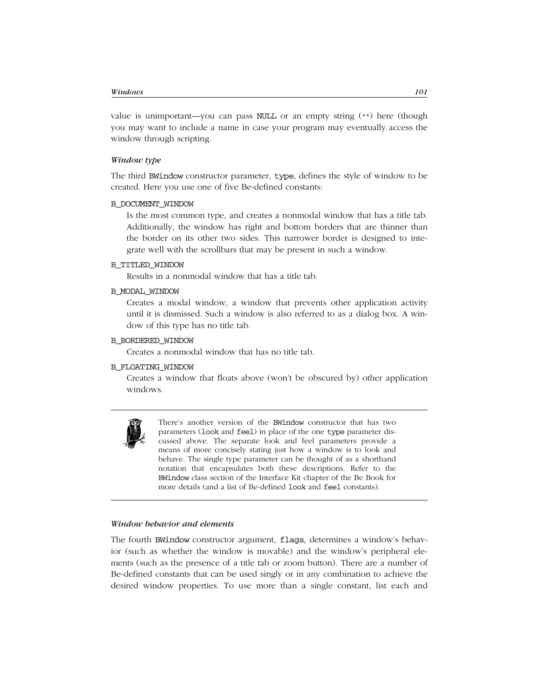value is unimportant—you can pass NULL or an empty string ("") here (though you may want to include a name in case your program may eventually access the window through scripting.

#### *Window type*

The third BWindow constructor parameter, type, defines the style of window to be created. Here you use one of five Be-defined constants:

#### B\_DOCUMENT\_WINDOW

Is the most common type, and creates a nonmodal window that has a title tab. Additionally, the window has right and bottom borders that are thinner than the border on its other two sides. This narrower border is designed to integrate well with the scrollbars that may be present in such a window.

#### B\_TITLED\_WINDOW

Results in a nonmodal window that has a title tab.

#### B\_MODAL\_WINDOW

Creates a modal window, a window that prevents other application activity until it is dismissed. Such a window is also referred to as a dialog box. A window of this type has no title tab.

#### B\_BORDERED\_WINDOW

Creates a nonmodal window that has no title tab.

#### B\_FLOATING\_WINDOW

Creates a window that floats above (won't be obscured by) other application windows.



There's another version of the BWindow constructor that has two parameters (look and feel) in place of the one type parameter discussed above. The separate look and feel parameters provide a means of more concisely stating just how a window is to look and behave. The single type parameter can be thought of as a shorthand notation that encapsulates both these descriptions. Refer to the BWindow class section of the Interface Kit chapter of the Be Book for more details (and a list of Be-defined look and feel constants).

#### *Window behavior and elements*

The fourth BWindow constructor argument, flags, determines a window's behavior (such as whether the window is movable) and the window's peripheral elements (such as the presence of a title tab or zoom button). There are a number of Be-defined constants that can be used singly or in any combination to achieve the desired window properties. To use more than a single constant, list each and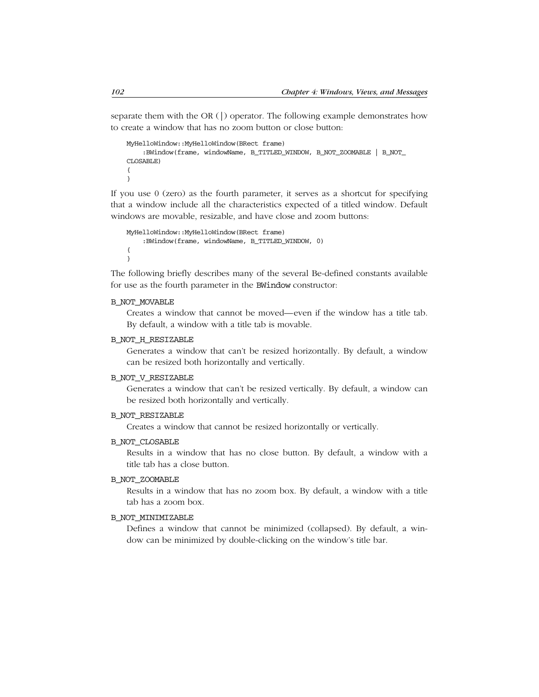separate them with the OR (|) operator. The following example demonstrates how to create a window that has no zoom button or close button:

```
MyHelloWindow::MyHelloWindow(BRect frame)
     :BWindow(frame, windowName, B_TITLED_WINDOW, B_NOT_ZOOMABLE | B_NOT_
CLOSABLE)
{
}
```
If you use  $0$  (zero) as the fourth parameter, it serves as a shortcut for specifying that a window include all the characteristics expected of a titled window. Default windows are movable, resizable, and have close and zoom buttons:

```
MyHelloWindow::MyHelloWindow(BRect frame)
     :BWindow(frame, windowName, B_TITLED_WINDOW, 0)
{
}
```
The following briefly describes many of the several Be-defined constants available for use as the fourth parameter in the BWindow constructor:

#### B\_NOT\_MOVABLE

Creates a window that cannot be moved—even if the window has a title tab. By default, a window with a title tab is movable.

#### B\_NOT\_H\_RESIZABLE

Generates a window that can't be resized horizontally. By default, a window can be resized both horizontally and vertically.

#### B\_NOT\_V\_RESIZABLE

Generates a window that can't be resized vertically. By default, a window can be resized both horizontally and vertically.

#### B\_NOT\_RESIZABLE

Creates a window that cannot be resized horizontally or vertically.

#### B\_NOT\_CLOSABLE

Results in a window that has no close button. By default, a window with a title tab has a close button.

#### B\_NOT\_ZOOMABLE

Results in a window that has no zoom box. By default, a window with a title tab has a zoom box.

#### B\_NOT\_MINIMIZABLE

Defines a window that cannot be minimized (collapsed). By default, a window can be minimized by double-clicking on the window's title bar.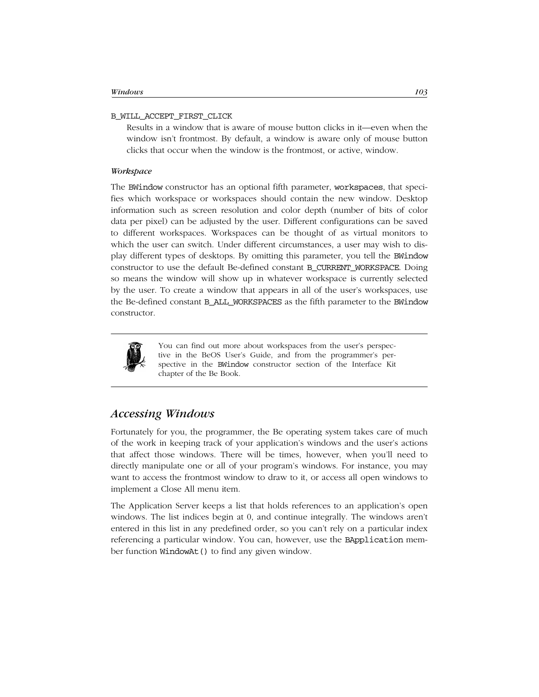#### B\_WILL\_ACCEPT\_FIRST\_CLICK

Results in a window that is aware of mouse button clicks in it—even when the window isn't frontmost. By default, a window is aware only of mouse button clicks that occur when the window is the frontmost, or active, window.

#### *Workspace*

The BWindow constructor has an optional fifth parameter, workspaces, that specifies which workspace or workspaces should contain the new window. Desktop information such as screen resolution and color depth (number of bits of color data per pixel) can be adjusted by the user. Different configurations can be saved to different workspaces. Workspaces can be thought of as virtual monitors to which the user can switch. Under different circumstances, a user may wish to display different types of desktops. By omitting this parameter, you tell the BWindow constructor to use the default Be-defined constant B\_CURRENT\_WORKSPACE. Doing so means the window will show up in whatever workspace is currently selected by the user. To create a window that appears in all of the user's workspaces, use the Be-defined constant B\_ALL\_WORKSPACES as the fifth parameter to the BWindow constructor.



You can find out more about workspaces from the user's perspective in the BeOS User's Guide, and from the programmer's perspective in the BWindow constructor section of the Interface Kit chapter of the Be Book.

#### *Accessing Windows*

Fortunately for you, the programmer, the Be operating system takes care of much of the work in keeping track of your application's windows and the user's actions that affect those windows. There will be times, however, when you'll need to directly manipulate one or all of your program's windows. For instance, you may want to access the frontmost window to draw to it, or access all open windows to implement a Close All menu item.

The Application Server keeps a list that holds references to an application's open windows. The list indices begin at 0, and continue integrally. The windows aren't entered in this list in any predefined order, so you can't rely on a particular index referencing a particular window. You can, however, use the BApplication member function WindowAt() to find any given window.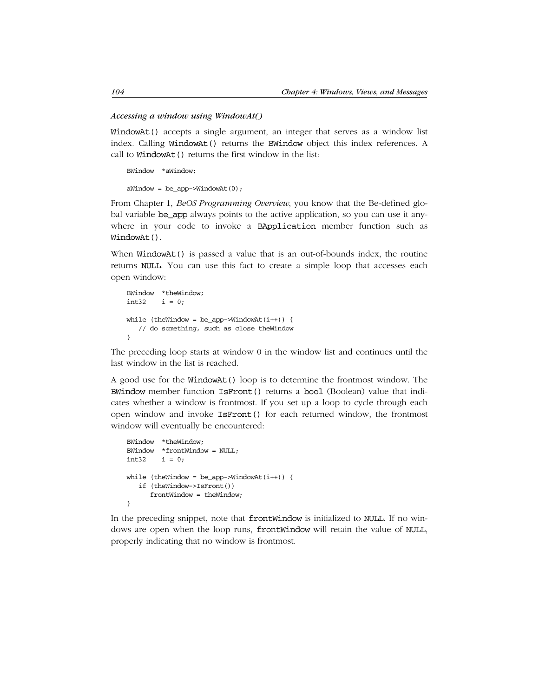#### *Accessing a window using WindowAt()*

WindowAt() accepts a single argument, an integer that serves as a window list index. Calling WindowAt() returns the BWindow object this index references. A call to WindowAt() returns the first window in the list:

```
BWindow *aWindow;
```

```
aWindow = be_app->WindowAt(0);
```
From Chapter 1, *BeOS Programming Overview*, you know that the Be-defined global variable be\_app always points to the active application, so you can use it anywhere in your code to invoke a BApplication member function such as WindowAt().

When WindowAt() is passed a value that is an out-of-bounds index, the routine returns NULL. You can use this fact to create a simple loop that accesses each open window:

```
BWindow *theWindow;
int32 i = 0;
while (theWindow = be_app->WindowAt(i++)) {
    // do something, such as close theWindow
}
```
The preceding loop starts at window 0 in the window list and continues until the last window in the list is reached.

A good use for the WindowAt() loop is to determine the frontmost window. The BWindow member function IsFront() returns a bool (Boolean) value that indicates whether a window is frontmost. If you set up a loop to cycle through each open window and invoke IsFront() for each returned window, the frontmost window will eventually be encountered:

```
BWindow *theWindow;
BWindow *frontWindow = NULL;
int32 i = 0;while (theWindow = be_app->WindowAt(i++)) {
    if (theWindow->IsFront())
       frontWindow = theWindow;
}
```
In the preceding snippet, note that frontWindow is initialized to NULL. If no windows are open when the loop runs, frontWindow will retain the value of NULL, properly indicating that no window is frontmost.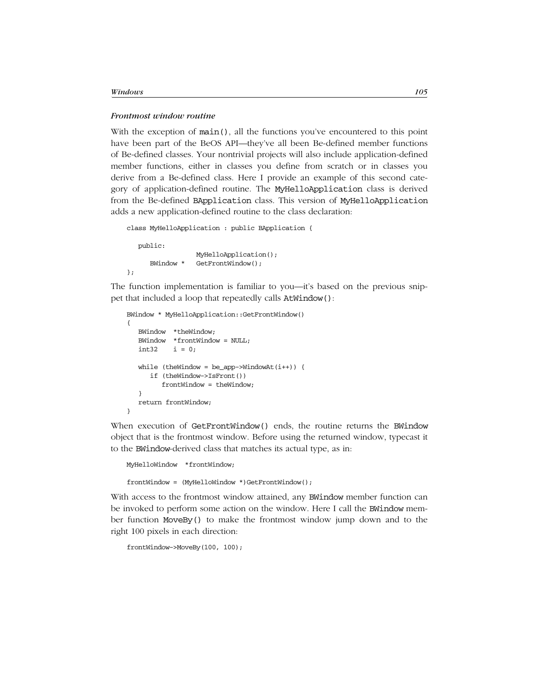#### *Frontmost window routine*

With the exception of  $\text{main}$  (), all the functions you've encountered to this point have been part of the BeOS API—they've all been Be-defined member functions of Be-defined classes. Your nontrivial projects will also include application-defined member functions, either in classes you define from scratch or in classes you derive from a Be-defined class. Here I provide an example of this second category of application-defined routine. The MyHelloApplication class is derived from the Be-defined BApplication class. This version of MyHelloApplication adds a new application-defined routine to the class declaration:

```
class MyHelloApplication : public BApplication {
    public:
                   MyHelloApplication();
       BWindow * GetFrontWindow();
};
```
The function implementation is familiar to you—it's based on the previous snippet that included a loop that repeatedly calls AtWindow():

```
BWindow * MyHelloApplication::GetFrontWindow()
{
    BWindow *theWindow;
    BWindow *frontWindow = NULL;
   int32 i = 0;
   while (theWindow = be_app->WindowAt(i++)) {
       if (theWindow->IsFront())
          frontWindow = theWindow;
    }
    return frontWindow;
}
```
When execution of GetFrontWindow() ends, the routine returns the BWindow object that is the frontmost window. Before using the returned window, typecast it to the BWindow-derived class that matches its actual type, as in:

```
MyHelloWindow *frontWindow;
```
frontWindow = (MyHelloWindow \*)GetFrontWindow();

With access to the frontmost window attained, any BWindow member function can be invoked to perform some action on the window. Here I call the BWindow member function MoveBy() to make the frontmost window jump down and to the right 100 pixels in each direction:

```
frontWindow->MoveBy(100, 100);
```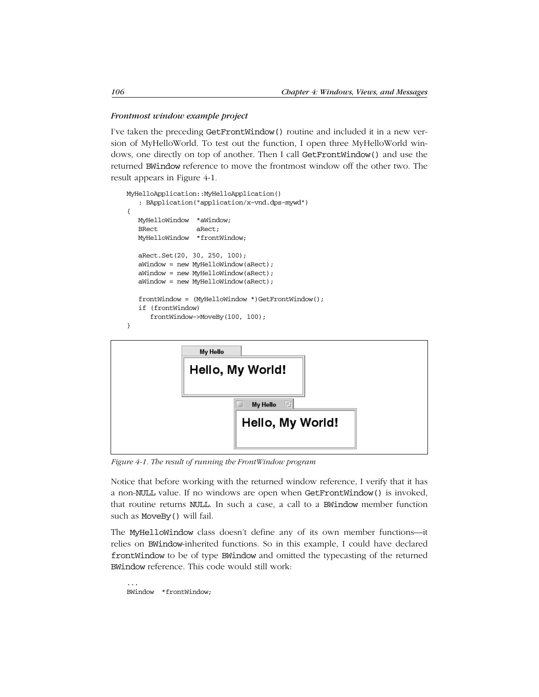#### *Frontmost window example project*

I've taken the preceding GetFrontWindow() routine and included it in a new version of MyHelloWorld. To test out the function, I open three MyHelloWorld windows, one directly on top of another. Then I call GetFrontWindow() and use the returned BWindow reference to move the frontmost window off the other two. The result appears in Figure 4-1.

```
MyHelloApplication::MyHelloApplication()
    : BApplication("application/x-vnd.dps-mywd")
{
   MyHelloWindow *aWindow;
    BRect aRect;
   MyHelloWindow *frontWindow;
    aRect.Set(20, 30, 250, 100);
    aWindow = new MyHelloWindow(aRect);
    aWindow = new MyHelloWindow(aRect);
    aWindow = new MyHelloWindow(aRect);
    frontWindow = (MyHelloWindow *)GetFrontWindow();
    if (frontWindow)
       frontWindow->MoveBy(100, 100);
}
```


*Figure 4-1. The result of running the FrontWindow program*

Notice that before working with the returned window reference, I verify that it has a non-NULL value. If no windows are open when GetFrontWindow() is invoked, that routine returns NULL. In such a case, a call to a BWindow member function such as MoveBy() will fail.

The MyHelloWindow class doesn't define any of its own member functions—it relies on BWindow-inherited functions. So in this example, I could have declared frontWindow to be of type BWindow and omitted the typecasting of the returned BWindow reference. This code would still work:

... BWindow \*frontWindow;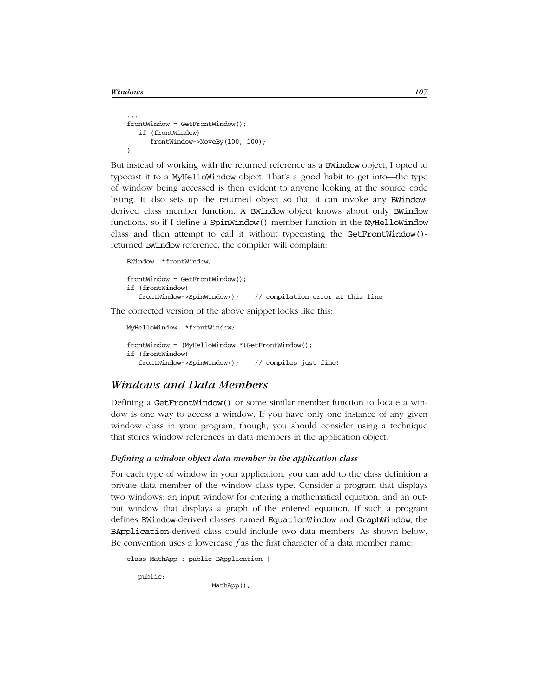```
...
frontWindow = GetFrontWindow();
   if (frontWindow)
       frontWindow->MoveBy(100, 100);
}
```
But instead of working with the returned reference as a BWindow object, I opted to typecast it to a MyHelloWindow object. That's a good habit to get into—the type of window being accessed is then evident to anyone looking at the source code listing. It also sets up the returned object so that it can invoke any BWindowderived class member function. A BWindow object knows about only BWindow functions, so if I define a SpinWindow() member function in the MyHelloWindow class and then attempt to call it without typecasting the GetFrontWindow() returned BWindow reference, the compiler will complain:

```
BWindow *frontWindow;
frontWindow = GetFrontWindow();
if (frontWindow)
    frontWindow->SpinWindow(); // compilation error at this line
```
The corrected version of the above snippet looks like this:

```
MyHelloWindow *frontWindow;
frontWindow = (MyHelloWindow *)GetFrontWindow();
if (frontWindow)
    frontWindow->SpinWindow(); // compiles just fine!
```
#### *Windows and Data Members*

Defining a GetFrontWindow() or some similar member function to locate a window is one way to access a window. If you have only one instance of any given window class in your program, though, you should consider using a technique that stores window references in data members in the application object.

#### *Defining a window object data member in the application class*

For each type of window in your application, you can add to the class definition a private data member of the window class type. Consider a program that displays two windows: an input window for entering a mathematical equation, and an output window that displays a graph of the entered equation. If such a program defines BWindow-derived classes named EquationWindow and GraphWindow, the BApplication-derived class could include two data members. As shown below, Be convention uses a lowercase *f* as the first character of a data member name:

```
class MathApp : public BApplication {
```
public:

MathApp();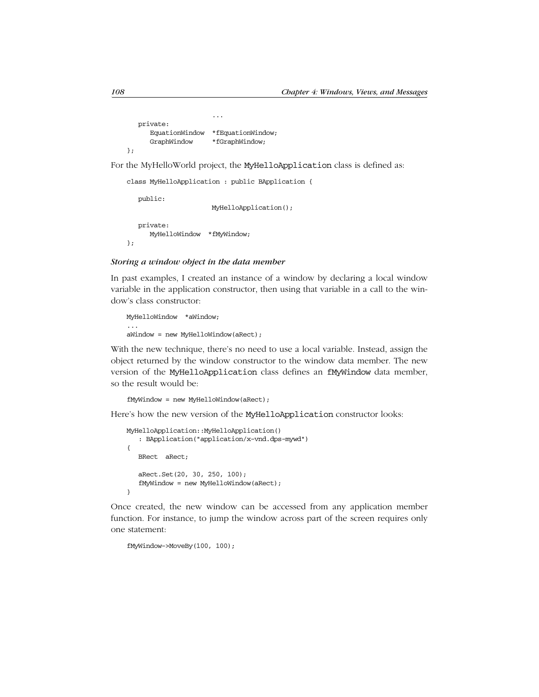```
 ...
   private:
     EquationWindow *fEquationWindow;
    GraphWindow *fGraphWindow;
};
```
For the MyHelloWorld project, the MyHelloApplication class is defined as:

```
class MyHelloApplication : public BApplication {
    public:
                        MyHelloApplication();
    private:
       MyHelloWindow *fMyWindow;
};
```
#### *Storing a window object in the data member*

In past examples, I created an instance of a window by declaring a local window variable in the application constructor, then using that variable in a call to the window's class constructor:

MyHelloWindow \*aWindow; ... aWindow = new MyHelloWindow(aRect);

With the new technique, there's no need to use a local variable. Instead, assign the object returned by the window constructor to the window data member. The new version of the MyHelloApplication class defines an fMyWindow data member, so the result would be:

```
fMyWindow = new MyHelloWindow(aRect);
```
Here's how the new version of the MyHelloApplication constructor looks:

```
MyHelloApplication::MyHelloApplication()
    : BApplication("application/x-vnd.dps-mywd")
{
    BRect aRect;
    aRect.Set(20, 30, 250, 100);
    fMyWindow = new MyHelloWindow(aRect);
}
```
Once created, the new window can be accessed from any application member function. For instance, to jump the window across part of the screen requires only one statement:

fMyWindow->MoveBy(100, 100);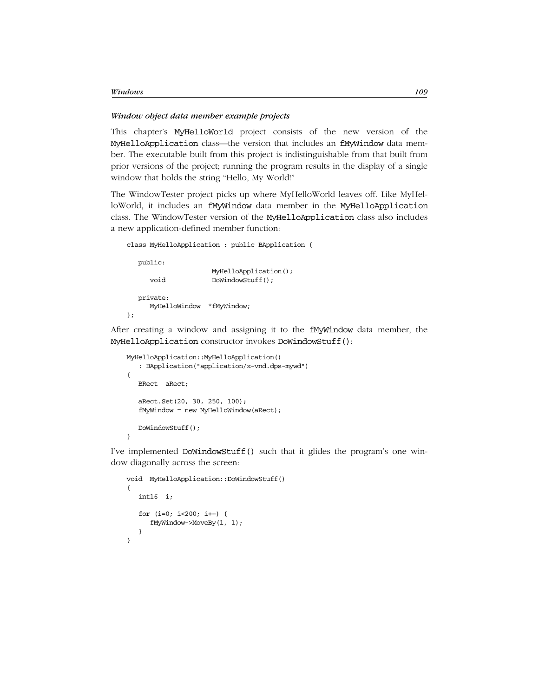#### *Window object data member example projects*

This chapter's MyHelloWorld project consists of the new version of the MyHelloApplication class—the version that includes an fMyWindow data member. The executable built from this project is indistinguishable from that built from prior versions of the project; running the program results in the display of a single window that holds the string "Hello, My World!"

The WindowTester project picks up where MyHelloWorld leaves off. Like MyHelloWorld, it includes an fMyWindow data member in the MyHelloApplication class. The WindowTester version of the MyHelloApplication class also includes a new application-defined member function:

```
class MyHelloApplication : public BApplication {
   public:
                      MyHelloApplication();
     void DoWindowStuff();
   private:
      MyHelloWindow *fMyWindow;
};
```
After creating a window and assigning it to the fMyWindow data member, the MyHelloApplication constructor invokes DoWindowStuff():

```
MyHelloApplication::MyHelloApplication()
    : BApplication("application/x-vnd.dps-mywd")
{
    BRect aRect;
    aRect.Set(20, 30, 250, 100);
    fMyWindow = new MyHelloWindow(aRect);
    DoWindowStuff();
}
```
I've implemented DoWindowStuff() such that it glides the program's one window diagonally across the screen:

```
void MyHelloApplication::DoWindowStuff()
{
   int16 i;
    for (i=0; i<200; i++) {
       fMyWindow->MoveBy(1, 1);
    }
}
```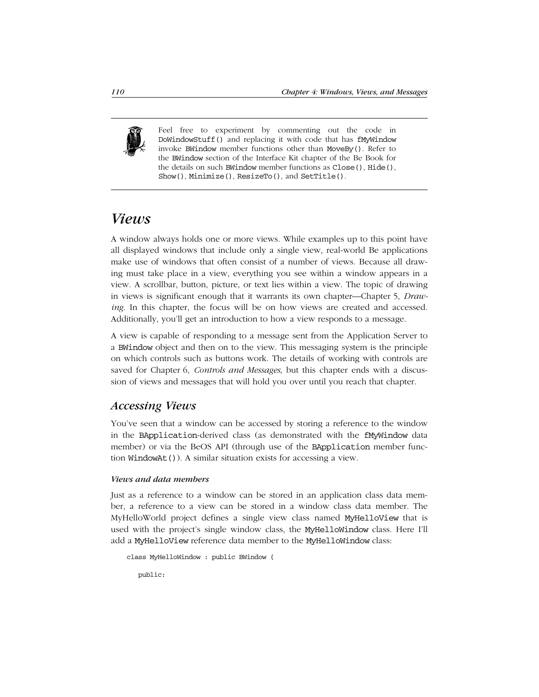

Feel free to experiment by commenting out the code in DoWindowStuff() and replacing it with code that has fMyWindow invoke BWindow member functions other than MoveBy(). Refer to the BWindow section of the Interface Kit chapter of the Be Book for the details on such BWindow member functions as Close(), Hide(), Show(), Minimize(), ResizeTo(), and SetTitle().

## *Views*

A window always holds one or more views. While examples up to this point have all displayed windows that include only a single view, real-world Be applications make use of windows that often consist of a number of views. Because all drawing must take place in a view, everything you see within a window appears in a view. A scrollbar, button, picture, or text lies within a view. The topic of drawing in views is significant enough that it warrants its own chapter—Chapter 5, *Drawing*. In this chapter, the focus will be on how views are created and accessed. Additionally, you'll get an introduction to how a view responds to a message.

A view is capable of responding to a message sent from the Application Server to a BWindow object and then on to the view. This messaging system is the principle on which controls such as buttons work. The details of working with controls are saved for Chapter 6, *Controls and Messages*, but this chapter ends with a discussion of views and messages that will hold you over until you reach that chapter.

#### *Accessing Views*

You've seen that a window can be accessed by storing a reference to the window in the BApplication-derived class (as demonstrated with the fMyWindow data member) or via the BeOS API (through use of the BApplication member function WindowAt()). A similar situation exists for accessing a view.

#### *Views and data members*

Just as a reference to a window can be stored in an application class data member, a reference to a view can be stored in a window class data member. The MyHelloWorld project defines a single view class named MyHelloView that is used with the project's single window class, the MyHelloWindow class. Here I'll add a MyHelloView reference data member to the MyHelloWindow class:

```
class MyHelloWindow : public BWindow {
   public:
```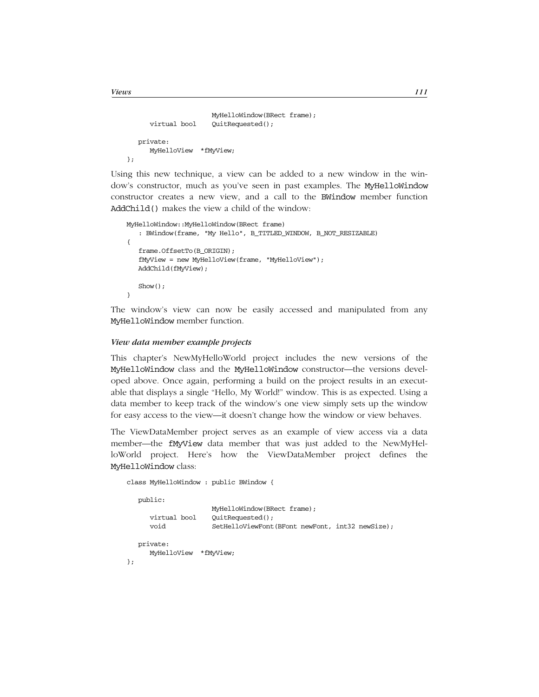};

```
 MyHelloWindow(BRect frame);
    virtual bool QuitRequested();
 private:
    MyHelloView *fMyView;
```
Using this new technique, a view can be added to a new window in the window's constructor, much as you've seen in past examples. The MyHelloWindow constructor creates a new view, and a call to the BWindow member function AddChild() makes the view a child of the window:

```
MyHelloWindow::MyHelloWindow(BRect frame)
    : BWindow(frame, "My Hello", B_TITLED_WINDOW, B_NOT_RESIZABLE)
{
    frame.OffsetTo(B_ORIGIN);
    fMyView = new MyHelloView(frame, "MyHelloView");
    AddChild(fMyView);
   Show();
}
```
The window's view can now be easily accessed and manipulated from any MyHelloWindow member function.

#### *View data member example projects*

This chapter's NewMyHelloWorld project includes the new versions of the MyHelloWindow class and the MyHelloWindow constructor—the versions developed above. Once again, performing a build on the project results in an executable that displays a single "Hello, My World!" window. This is as expected. Using a data member to keep track of the window's one view simply sets up the window for easy access to the view—it doesn't change how the window or view behaves.

The ViewDataMember project serves as an example of view access via a data member—the fMyView data member that was just added to the NewMyHelloWorld project. Here's how the ViewDataMember project defines the MyHelloWindow class:

```
class MyHelloWindow : public BWindow {
   public:
                     MyHelloWindow(BRect frame);
     virtual bool QuitRequested();
     void SetHelloViewFont(BFont newFont, int32 newSize);
   private:
      MyHelloView *fMyView;
};
```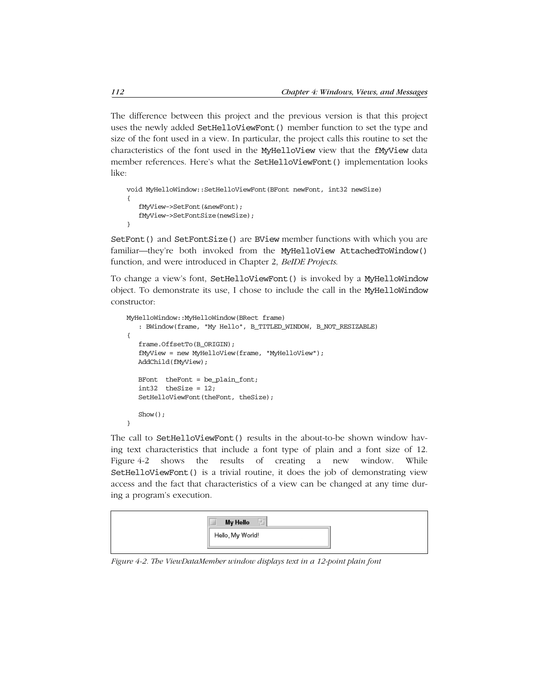The difference between this project and the previous version is that this project uses the newly added SetHelloViewFont() member function to set the type and size of the font used in a view. In particular, the project calls this routine to set the characteristics of the font used in the MyHelloView view that the fMyView data member references. Here's what the SetHelloViewFont() implementation looks like:

```
void MyHelloWindow::SetHelloViewFont(BFont newFont, int32 newSize)
{
    fMyView->SetFont(&newFont);
    fMyView->SetFontSize(newSize);
}
```
SetFont() and SetFontSize() are BView member functions with which you are familiar—they're both invoked from the MyHelloView AttachedToWindow() function, and were introduced in Chapter 2, *BeIDE Projects*.

To change a view's font, SetHelloViewFont() is invoked by a MyHelloWindow object. To demonstrate its use, I chose to include the call in the MyHelloWindow constructor:

```
MyHelloWindow::MyHelloWindow(BRect frame)
    : BWindow(frame, "My Hello", B_TITLED_WINDOW, B_NOT_RESIZABLE)
{
    frame.OffsetTo(B_ORIGIN);
    fMyView = new MyHelloView(frame, "MyHelloView");
   AddChild(fMyView);
    BFont theFont = be_plain_font;
    int32 theSize = 12;
   SetHelloViewFont(theFont, theSize);
   Show():
}
```
The call to SetHelloViewFont() results in the about-to-be shown window having text characteristics that include a font type of plain and a font size of 12. Figure 4-2 shows the results of creating a new window. While SetHelloViewFont() is a trivial routine, it does the job of demonstrating view access and the fact that characteristics of a view can be changed at any time during a program's execution.

*Figure 4-2. The ViewDataMember window displays text in a 12-point plain font*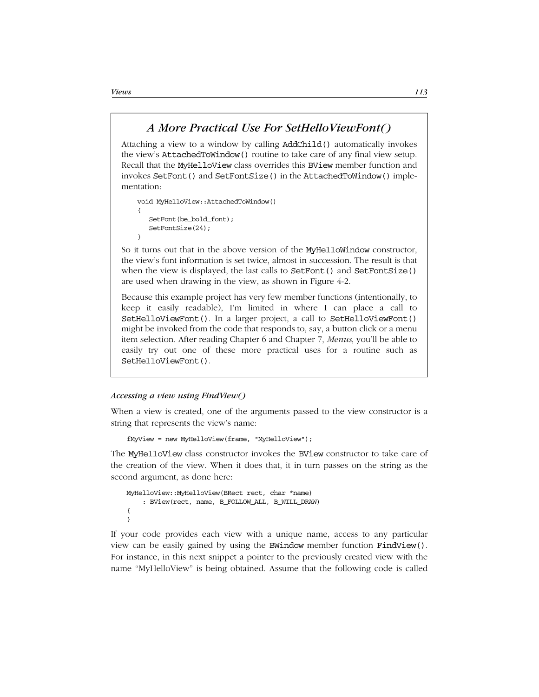#### *A More Practical Use For SetHelloViewFont()*

Attaching a view to a window by calling AddChild() automatically invokes the view's AttachedToWindow() routine to take care of any final view setup. Recall that the MyHelloView class overrides this BView member function and invokes SetFont() and SetFontSize() in the AttachedToWindow() implementation:

```
void MyHelloView::AttachedToWindow()
{
   SetFont(be bold font);
    SetFontSize(24);
}
```
So it turns out that in the above version of the MyHelloWindow constructor, the view's font information is set twice, almost in succession. The result is that when the view is displayed, the last calls to SetFont() and SetFontSize() are used when drawing in the view, as shown in Figure 4-2.

Because this example project has very few member functions (intentionally, to keep it easily readable), I'm limited in where I can place a call to SetHelloViewFont(). In a larger project, a call to SetHelloViewFont() might be invoked from the code that responds to, say, a button click or a menu item selection. After reading Chapter 6 and Chapter 7, *Menus*, you'll be able to easily try out one of these more practical uses for a routine such as SetHelloViewFont().

#### *Accessing a view using FindView()*

When a view is created, one of the arguments passed to the view constructor is a string that represents the view's name:

fMyView = new MyHelloView(frame, "MyHelloView");

The MyHelloView class constructor invokes the BView constructor to take care of the creation of the view. When it does that, it in turn passes on the string as the second argument, as done here:

```
MyHelloView::MyHelloView(BRect rect, char *name)
     : BView(rect, name, B_FOLLOW_ALL, B_WILL_DRAW)
{
}
```
If your code provides each view with a unique name, access to any particular view can be easily gained by using the BWindow member function FindView(). For instance, in this next snippet a pointer to the previously created view with the name "MyHelloView" is being obtained. Assume that the following code is called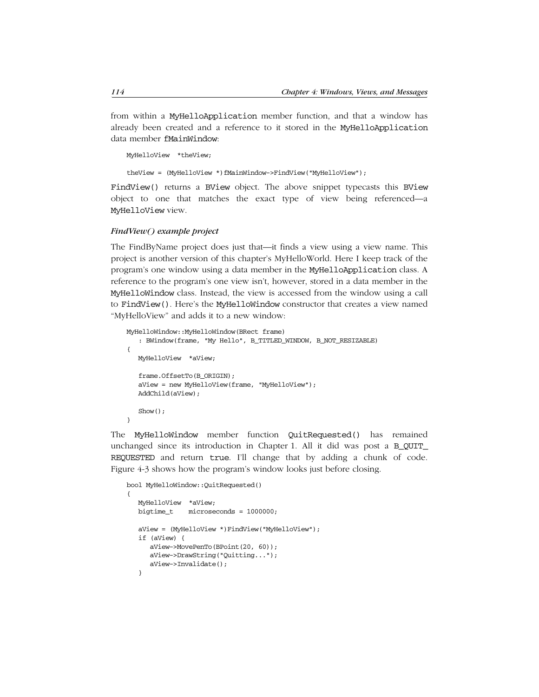from within a MyHelloApplication member function, and that a window has already been created and a reference to it stored in the MyHelloApplication data member fMainWindow:

MyHelloView \*theView;

theView = (MyHelloView \*)fMainWindow->FindView("MyHelloView");

FindView() returns a BView object. The above snippet typecasts this BView object to one that matches the exact type of view being referenced—a MyHelloView view.

#### *FindView() example project*

The FindByName project does just that—it finds a view using a view name. This project is another version of this chapter's MyHelloWorld. Here I keep track of the program's one window using a data member in the MyHelloApplication class. A reference to the program's one view isn't, however, stored in a data member in the MyHelloWindow class. Instead, the view is accessed from the window using a call to FindView(). Here's the MyHelloWindow constructor that creates a view named "MyHelloView" and adds it to a new window:

```
MyHelloWindow::MyHelloWindow(BRect frame)
    : BWindow(frame, "My Hello", B_TITLED_WINDOW, B_NOT_RESIZABLE)
{
   MyHelloView *aView;
    frame.OffsetTo(B_ORIGIN);
    aView = new MyHelloView(frame, "MyHelloView");
    AddChild(aView);
   Show();
\lambda
```
The MyHelloWindow member function QuitRequested() has remained unchanged since its introduction in Chapter 1. All it did was post a B\_QUIT\_ REQUESTED and return true. I'll change that by adding a chunk of code. Figure 4-3 shows how the program's window looks just before closing.

```
bool MyHelloWindow::QuitRequested()
{
   MyHelloView *aView;
   bigtime_t microseconds = 1000000;
    aView = (MyHelloView *)FindView("MyHelloView");
    if (aView) {
       aView->MovePenTo(BPoint(20, 60));
       aView->DrawString("Quitting...");
       aView->Invalidate();
    }
```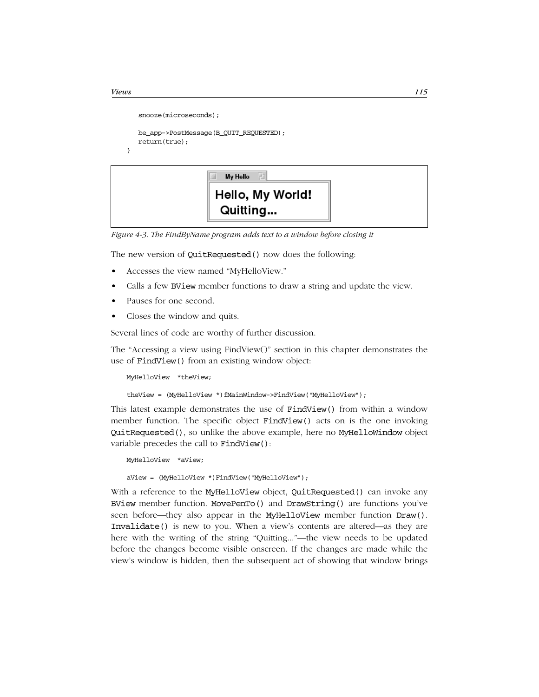*Views 115*

```
 snooze(microseconds);
   be_app->PostMessage(B_QUIT_REQUESTED);
    return(true);
}
```


*Figure 4-3. The FindByName program adds text to a window before closing it*

The new version of QuitRequested() now does the following:

- Accesses the view named "MyHelloView."
- Calls a few BView member functions to draw a string and update the view.
- Pauses for one second.
- Closes the window and quits.

Several lines of code are worthy of further discussion.

The "Accessing a view using FindView()" section in this chapter demonstrates the use of FindView() from an existing window object:

MyHelloView \*theView;

theView = (MyHelloView \*)fMainWindow->FindView("MyHelloView");

This latest example demonstrates the use of FindView() from within a window member function. The specific object FindView() acts on is the one invoking QuitRequested(), so unlike the above example, here no MyHelloWindow object variable precedes the call to FindView():

MyHelloView \*aView;

aView = (MyHelloView \*)FindView("MyHelloView");

With a reference to the MyHelloView object, QuitRequested() can invoke any BView member function. MovePenTo() and DrawString() are functions you've seen before—they also appear in the MyHelloView member function Draw(). Invalidate() is new to you. When a view's contents are altered—as they are here with the writing of the string "Quitting..."—the view needs to be updated before the changes become visible onscreen. If the changes are made while the view's window is hidden, then the subsequent act of showing that window brings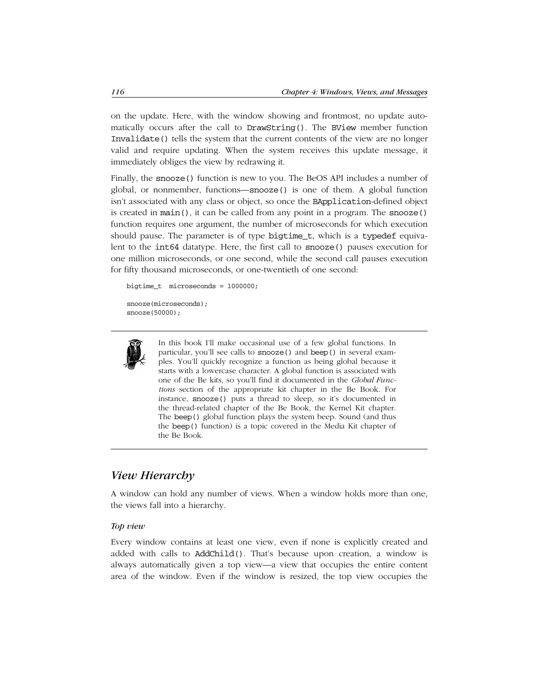on the update. Here, with the window showing and frontmost, no update automatically occurs after the call to DrawString(). The BView member function Invalidate() tells the system that the current contents of the view are no longer valid and require updating. When the system receives this update message, it immediately obliges the view by redrawing it.

Finally, the snooze() function is new to you. The BeOS API includes a number of global, or nonmember, functions—snooze() is one of them. A global function isn't associated with any class or object, so once the BApplication-defined object is created in main(), it can be called from any point in a program. The snooze() function requires one argument, the number of microseconds for which execution should pause. The parameter is of type bigtime\_t, which is a typedef equivalent to the int64 datatype. Here, the first call to snooze() pauses execution for one million microseconds, or one second, while the second call pauses execution for fifty thousand microseconds, or one-twentieth of one second:

```
bigtime_t microseconds = 1000000;
snooze(microseconds);
snooze(50000);
```


In this book I'll make occasional use of a few global functions. In particular, you'll see calls to snooze() and beep() in several examples. You'll quickly recognize a function as being global because it starts with a lowercase character. A global function is associated with one of the Be kits, so you'll find it documented in the *Global Functions* section of the appropriate kit chapter in the Be Book. For instance, snooze() puts a thread to sleep, so it's documented in the thread-related chapter of the Be Book, the Kernel Kit chapter. The beep() global function plays the system beep. Sound (and thus the beep() function) is a topic covered in the Media Kit chapter of the Be Book.

#### *View Hierarchy*

A window can hold any number of views. When a window holds more than one, the views fall into a hierarchy.

#### *Top view*

Every window contains at least one view, even if none is explicitly created and added with calls to AddChild(). That's because upon creation, a window is always automatically given a top view—a view that occupies the entire content area of the window. Even if the window is resized, the top view occupies the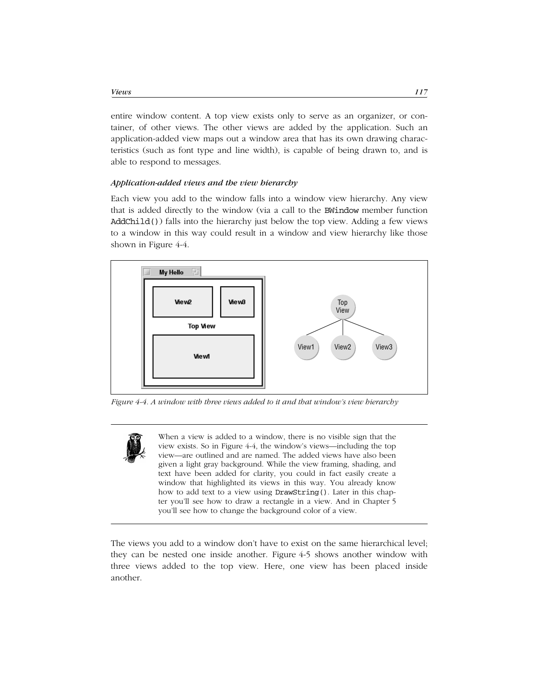entire window content. A top view exists only to serve as an organizer, or container, of other views. The other views are added by the application. Such an application-added view maps out a window area that has its own drawing charac-

#### *Application-added views and the view hierarchy*

able to respond to messages.

Each view you add to the window falls into a window view hierarchy. Any view that is added directly to the window (via a call to the BWindow member function AddChild()) falls into the hierarchy just below the top view. Adding a few views to a window in this way could result in a window and view hierarchy like those shown in Figure 4-4.

teristics (such as font type and line width), is capable of being drawn to, and is



*Figure 4-4. A window with three views added to it and that window's view hierarchy*

When a view is added to a window, there is no visible sign that the view exists. So in Figure 4-4, the window's views—including the top view—are outlined and are named. The added views have also been given a light gray background. While the view framing, shading, and text have been added for clarity, you could in fact easily create a window that highlighted its views in this way. You already know how to add text to a view using DrawString(). Later in this chapter you'll see how to draw a rectangle in a view. And in Chapter 5 you'll see how to change the background color of a view.

The views you add to a window don't have to exist on the same hierarchical level; they can be nested one inside another. Figure 4-5 shows another window with three views added to the top view. Here, one view has been placed inside another.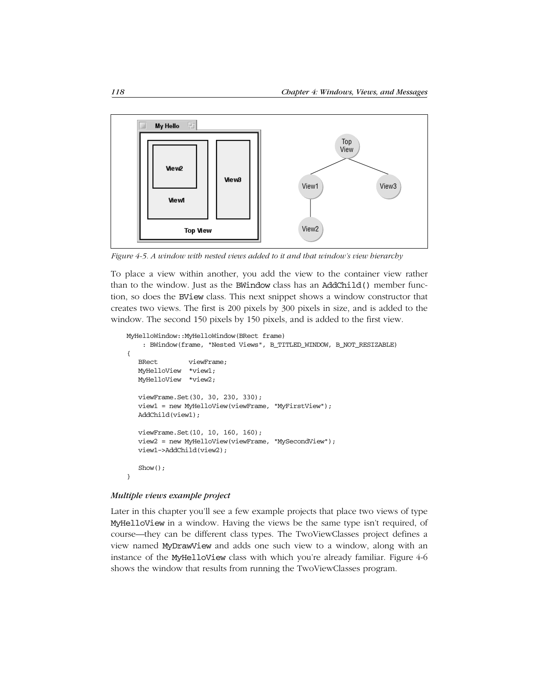

*Figure 4-5. A window with nested views added to it and that window's view hierarchy*

To place a view within another, you add the view to the container view rather than to the window. Just as the BWindow class has an AddChild() member function, so does the BView class. This next snippet shows a window constructor that creates two views. The first is 200 pixels by 300 pixels in size, and is added to the window. The second 150 pixels by 150 pixels, and is added to the first view.

```
MyHelloWindow::MyHelloWindow(BRect frame)
     : BWindow(frame, "Nested Views", B_TITLED_WINDOW, B_NOT_RESIZABLE)
{
    BRect viewFrame;
   MyHelloView *view1;
   MyHelloView *view2;
    viewFrame.Set(30, 30, 230, 330);
    view1 = new MyHelloView(viewFrame, "MyFirstView");
    AddChild(view1);
    viewFrame.Set(10, 10, 160, 160);
    view2 = new MyHelloView(viewFrame, "MySecondView");
    view1->AddChild(view2);
   Show();
}
```
#### *Multiple views example project*

Later in this chapter you'll see a few example projects that place two views of type MyHelloView in a window. Having the views be the same type isn't required, of course—they can be different class types. The TwoViewClasses project defines a view named MyDrawView and adds one such view to a window, along with an instance of the MyHelloView class with which you're already familiar. Figure 4-6 shows the window that results from running the TwoViewClasses program.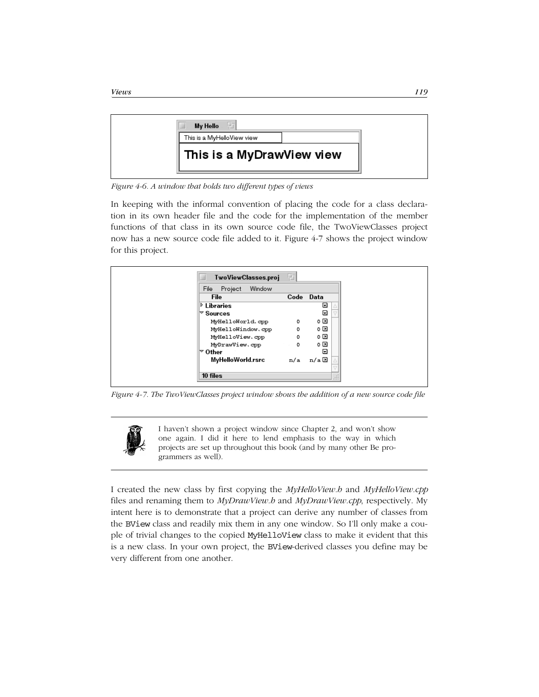*Views 119*

| <b>My Hello</b><br>en.     |  |
|----------------------------|--|
| This is a MyHelloView view |  |
| This is a MyDrawView view  |  |
|                            |  |

*Figure 4-6. A window that holds two different types of views*

In keeping with the informal convention of placing the code for a class declaration in its own header file and the code for the implementation of the member functions of that class in its own source code file, the TwoViewClasses project now has a new source code file added to it. Figure 4-7 shows the project window for this project.

| Window<br>File<br>Project  |     |           |
|----------------------------|-----|-----------|
| File                       |     | Code Data |
| $\triangleright$ Libraries |     | ⊡         |
| $\triangledown$ Sources    |     | ⊡         |
| MyHelloWorld.opp           | o   | ㅇㅁ        |
| MyHelloWindow.cpp          | o   | 이메        |
| MyHelloView.cpp            | o   | ᅃ         |
| MyDrawView.cpp             | o   | 이미        |
| ∣ <sup>∞</sup> Other       |     | ⊡         |
| MyHelloWorld.rsrc          | n/a | n/a ⊡     |
|                            |     |           |
| 10 files                   |     |           |

*Figure 4-7. The TwoViewClasses project window shows the addition of a new source code file*

I haven't shown a project window since Chapter 2, and won't show one again. I did it here to lend emphasis to the way in which projects are set up throughout this book (and by many other Be programmers as well).

I created the new class by first copying the *MyHelloView.h* and *MyHelloView.cpp* files and renaming them to *MyDrawView.h* and *MyDrawView.cpp*, respectively. My intent here is to demonstrate that a project can derive any number of classes from the BView class and readily mix them in any one window. So I'll only make a couple of trivial changes to the copied MyHelloView class to make it evident that this is a new class. In your own project, the BView-derived classes you define may be very different from one another.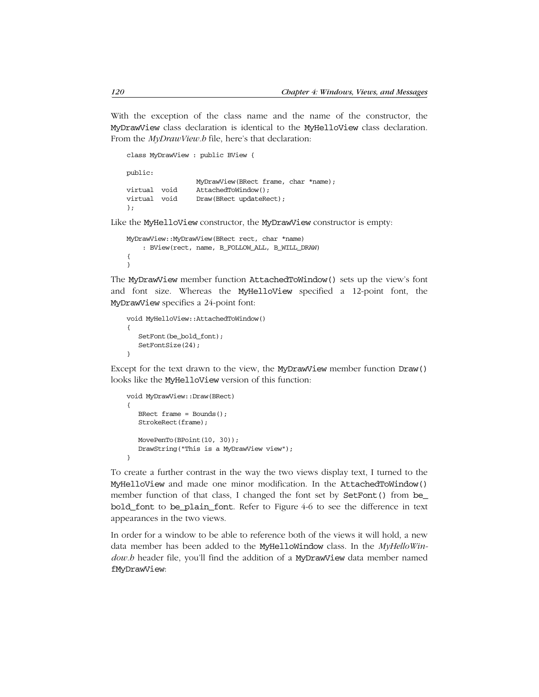With the exception of the class name and the name of the constructor, the MyDrawView class declaration is identical to the MyHelloView class declaration. From the *MyDrawView.h* file, here's that declaration:

```
class MyDrawView : public BView {
public:
                  MyDrawView(BRect frame, char *name);
virtual void AttachedToWindow();
virtual void Draw(BRect updateRect);
};
```
Like the MyHelloView constructor, the MyDrawView constructor is empty:

```
MyDrawView::MyDrawView(BRect rect, char *name)
     : BView(rect, name, B_FOLLOW_ALL, B_WILL_DRAW)
{
}
```
The MyDrawView member function AttachedToWindow() sets up the view's font and font size. Whereas the MyHelloView specified a 12-point font, the MyDrawView specifies a 24-point font:

```
void MyHelloView::AttachedToWindow()
{
    SetFont(be_bold_font);
    SetFontSize(24);
}
```
Except for the text drawn to the view, the MyDrawView member function Draw() looks like the MyHelloView version of this function:

```
void MyDrawView::Draw(BRect)
{
   BRect frame = Bounds();
    StrokeRect(frame);
   MovePenTo(BPoint(10, 30));
    DrawString("This is a MyDrawView view");
}
```
To create a further contrast in the way the two views display text, I turned to the MyHelloView and made one minor modification. In the AttachedToWindow() member function of that class, I changed the font set by SetFont() from be\_ bold\_font to be\_plain\_font. Refer to Figure 4-6 to see the difference in text appearances in the two views.

In order for a window to be able to reference both of the views it will hold, a new data member has been added to the MyHelloWindow class. In the *MyHelloWindow.h* header file, you'll find the addition of a MyDrawView data member named fMyDrawView: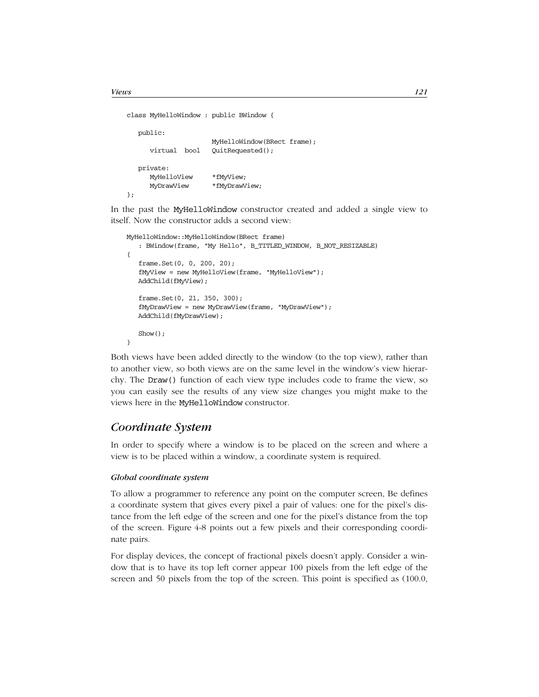```
class MyHelloWindow : public BWindow {
   public:
                      MyHelloWindow(BRect frame);
      virtual bool QuitRequested();
    private:
      MyHelloView *fMyView;
      MyDrawView *fMyDrawView;
};
```
In the past the MyHelloWindow constructor created and added a single view to itself. Now the constructor adds a second view:

```
MyHelloWindow::MyHelloWindow(BRect frame)
    : BWindow(frame, "My Hello", B_TITLED_WINDOW, B_NOT_RESIZABLE)
{
    frame.Set(0, 0, 200, 20);
    fMyView = new MyHelloView(frame, "MyHelloView");
    AddChild(fMyView);
    frame.Set(0, 21, 350, 300);
    fMyDrawView = new MyDrawView(frame, "MyDrawView");
    AddChild(fMyDrawView);
   Show();
}
```
Both views have been added directly to the window (to the top view), rather than to another view, so both views are on the same level in the window's view hierarchy. The Draw() function of each view type includes code to frame the view, so you can easily see the results of any view size changes you might make to the views here in the MyHelloWindow constructor.

#### *Coordinate System*

In order to specify where a window is to be placed on the screen and where a view is to be placed within a window, a coordinate system is required.

#### *Global coordinate system*

To allow a programmer to reference any point on the computer screen, Be defines a coordinate system that gives every pixel a pair of values: one for the pixel's distance from the left edge of the screen and one for the pixel's distance from the top of the screen. Figure 4-8 points out a few pixels and their corresponding coordinate pairs.

For display devices, the concept of fractional pixels doesn't apply. Consider a window that is to have its top left corner appear 100 pixels from the left edge of the screen and 50 pixels from the top of the screen. This point is specified as (100.0,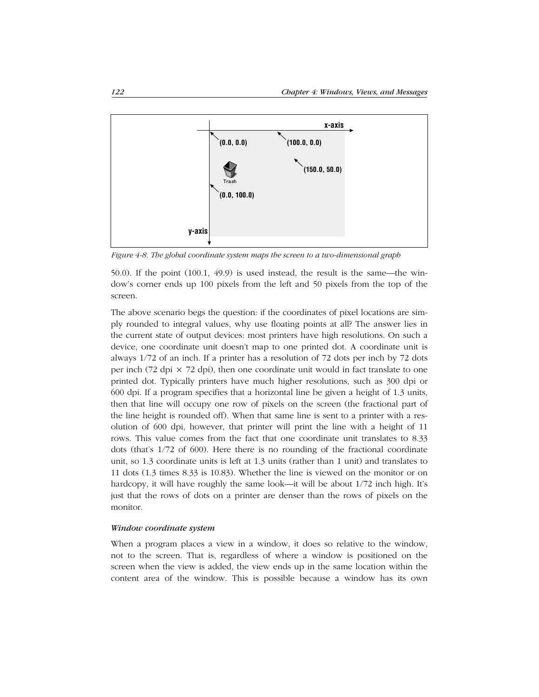

*Figure 4-8. The global coordinate system maps the screen to a two-dimensional graph*

50.0). If the point (100.1, 49.9) is used instead, the result is the same—the window's corner ends up 100 pixels from the left and 50 pixels from the top of the screen.

The above scenario begs the question: if the coordinates of pixel locations are simply rounded to integral values, why use floating points at all? The answer lies in the current state of output devices: most printers have high resolutions. On such a device, one coordinate unit doesn't map to one printed dot. A coordinate unit is always 1/72 of an inch. If a printer has a resolution of 72 dots per inch by 72 dots per inch (72 dpi  $\times$  72 dpi), then one coordinate unit would in fact translate to one printed dot. Typically printers have much higher resolutions, such as 300 dpi or 600 dpi. If a program specifies that a horizontal line be given a height of 1.3 units, then that line will occupy one row of pixels on the screen (the fractional part of the line height is rounded off). When that same line is sent to a printer with a resolution of 600 dpi, however, that printer will print the line with a height of 11 rows. This value comes from the fact that one coordinate unit translates to 8.33 dots (that's 1/72 of 600). Here there is no rounding of the fractional coordinate unit, so 1.3 coordinate units is left at 1.3 units (rather than 1 unit) and translates to 11 dots (1.3 times 8.33 is 10.83). Whether the line is viewed on the monitor or on hardcopy, it will have roughly the same look—it will be about 1/72 inch high. It's just that the rows of dots on a printer are denser than the rows of pixels on the monitor.

#### *Window coordinate system*

When a program places a view in a window, it does so relative to the window, not to the screen. That is, regardless of where a window is positioned on the screen when the view is added, the view ends up in the same location within the content area of the window. This is possible because a window has its own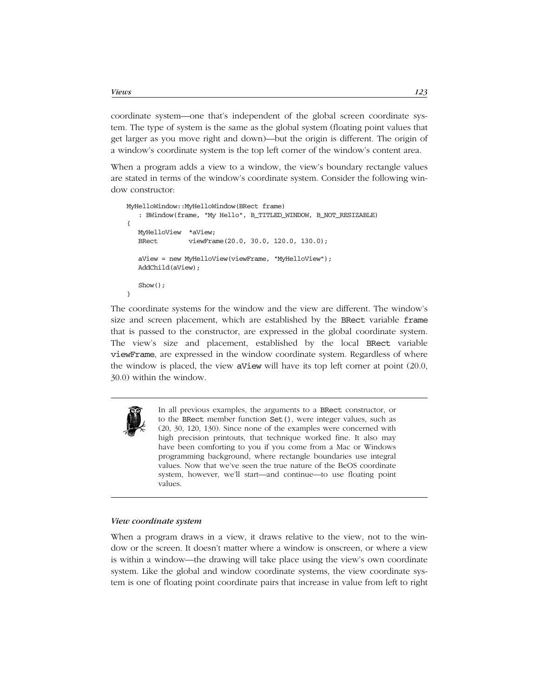coordinate system—one that's independent of the global screen coordinate system. The type of system is the same as the global system (floating point values that get larger as you move right and down)—but the origin is different. The origin of a window's coordinate system is the top left corner of the window's content area.

When a program adds a view to a window, the view's boundary rectangle values are stated in terms of the window's coordinate system. Consider the following window constructor:

```
MyHelloWindow::MyHelloWindow(BRect frame)
    : BWindow(frame, "My Hello", B_TITLED_WINDOW, B_NOT_RESIZABLE)
{
    MyHelloView *aView;
    BRect viewFrame(20.0, 30.0, 120.0, 130.0);
    aView = new MyHelloView(viewFrame, "MyHelloView");
    AddChild(aView);
   Show();
}
```
The coordinate systems for the window and the view are different. The window's size and screen placement, which are established by the BRect variable frame that is passed to the constructor, are expressed in the global coordinate system. The view's size and placement, established by the local BRect variable viewFrame, are expressed in the window coordinate system. Regardless of where the window is placed, the view aView will have its top left corner at point (20.0, 30.0) within the window.



In all previous examples, the arguments to a BRect constructor, or to the BRect member function Set(), were integer values, such as (20, 30, 120, 130). Since none of the examples were concerned with high precision printouts, that technique worked fine. It also may have been comforting to you if you come from a Mac or Windows programming background, where rectangle boundaries use integral values. Now that we've seen the true nature of the BeOS coordinate system, however, we'll start—and continue—to use floating point values.

#### *View coordinate system*

When a program draws in a view, it draws relative to the view, not to the window or the screen. It doesn't matter where a window is onscreen, or where a view is within a window—the drawing will take place using the view's own coordinate system. Like the global and window coordinate systems, the view coordinate system is one of floating point coordinate pairs that increase in value from left to right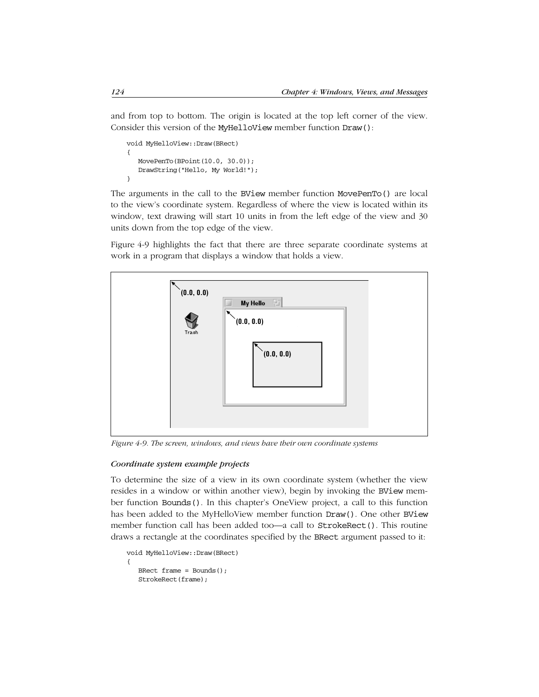and from top to bottom. The origin is located at the top left corner of the view. Consider this version of the MyHelloView member function Draw():

```
void MyHelloView::Draw(BRect)
{
  MovePenTo(BPoint(10.0, 30.0));
    DrawString("Hello, My World!");
}
```
The arguments in the call to the BView member function MovePenTo() are local to the view's coordinate system. Regardless of where the view is located within its window, text drawing will start 10 units in from the left edge of the view and 30 units down from the top edge of the view.

Figure 4-9 highlights the fact that there are three separate coordinate systems at work in a program that displays a window that holds a view.



*Figure 4-9. The screen, windows, and views have their own coordinate systems*

#### *Coordinate system example projects*

To determine the size of a view in its own coordinate system (whether the view resides in a window or within another view), begin by invoking the BView member function Bounds(). In this chapter's OneView project, a call to this function has been added to the MyHelloView member function Draw(). One other BView member function call has been added too—a call to StrokeRect(). This routine draws a rectangle at the coordinates specified by the BRect argument passed to it:

```
void MyHelloView::Draw(BRect)
{
   BRect frame = Bounds();
    StrokeRect(frame);
```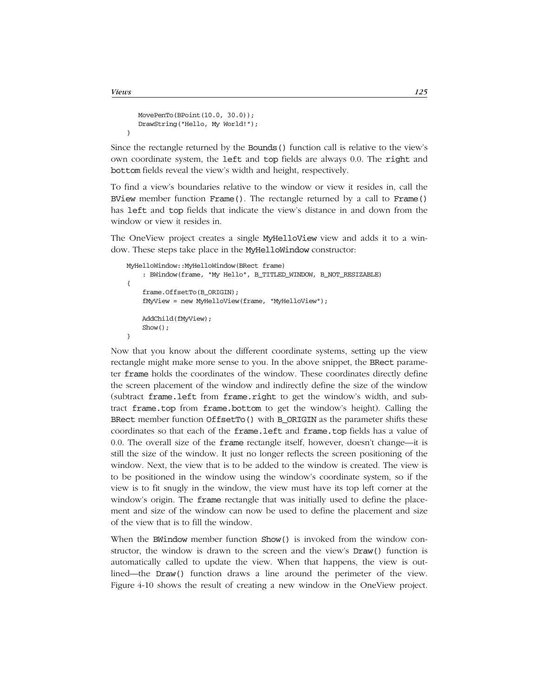}

```
 MovePenTo(BPoint(10.0, 30.0));
 DrawString("Hello, My World!");
```
Since the rectangle returned by the Bounds() function call is relative to the view's own coordinate system, the left and top fields are always 0.0. The right and bottom fields reveal the view's width and height, respectively.

To find a view's boundaries relative to the window or view it resides in, call the BView member function Frame(). The rectangle returned by a call to Frame() has left and top fields that indicate the view's distance in and down from the window or view it resides in.

The OneView project creates a single MyHelloView view and adds it to a window. These steps take place in the MyHelloWindow constructor:

```
MyHelloWindow::MyHelloWindow(BRect frame)
    : BWindow(frame, "My Hello", B_TITLED_WINDOW, B_NOT_RESIZABLE)
{
     frame.OffsetTo(B_ORIGIN);
     fMyView = new MyHelloView(frame, "MyHelloView");
     AddChild(fMyView);
    Show():
}
```
Now that you know about the different coordinate systems, setting up the view rectangle might make more sense to you. In the above snippet, the BRect parameter frame holds the coordinates of the window. These coordinates directly define the screen placement of the window and indirectly define the size of the window (subtract frame.left from frame.right to get the window's width, and subtract frame.top from frame.bottom to get the window's height). Calling the BRect member function OffsetTo() with B\_ORIGIN as the parameter shifts these coordinates so that each of the frame.left and frame.top fields has a value of 0.0. The overall size of the frame rectangle itself, however, doesn't change—it is still the size of the window. It just no longer reflects the screen positioning of the window. Next, the view that is to be added to the window is created. The view is to be positioned in the window using the window's coordinate system, so if the view is to fit snugly in the window, the view must have its top left corner at the window's origin. The frame rectangle that was initially used to define the placement and size of the window can now be used to define the placement and size of the view that is to fill the window.

When the BWindow member function Show() is invoked from the window constructor, the window is drawn to the screen and the view's Draw() function is automatically called to update the view. When that happens, the view is outlined—the Draw() function draws a line around the perimeter of the view. Figure 4-10 shows the result of creating a new window in the OneView project.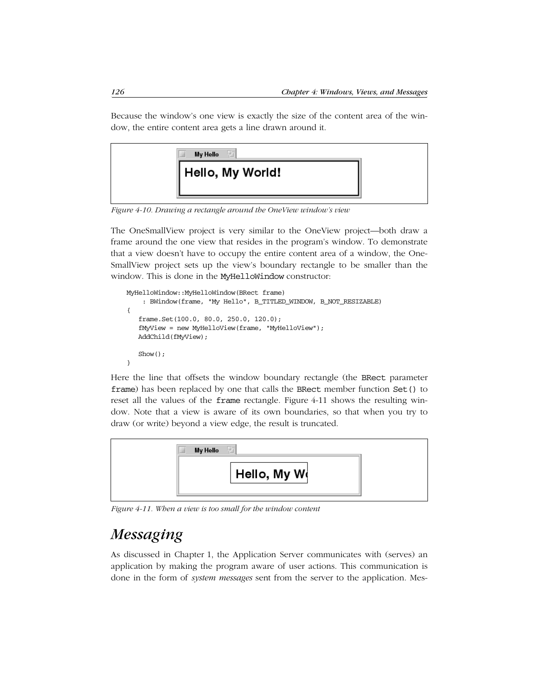Because the window's one view is exactly the size of the content area of the window, the entire content area gets a line drawn around it.



*Figure 4-10. Drawing a rectangle around the OneView window's view*

The OneSmallView project is very similar to the OneView project—both draw a frame around the one view that resides in the program's window. To demonstrate that a view doesn't have to occupy the entire content area of a window, the One-SmallView project sets up the view's boundary rectangle to be smaller than the window. This is done in the MyHelloWindow constructor:

```
MyHelloWindow::MyHelloWindow(BRect frame)
     : BWindow(frame, "My Hello", B_TITLED_WINDOW, B_NOT_RESIZABLE)
{
    frame.Set(100.0, 80.0, 250.0, 120.0);
    fMyView = new MyHelloView(frame, "MyHelloView");
    AddChild(fMyView);
   Show();
}
```
Here the line that offsets the window boundary rectangle (the BRect parameter frame) has been replaced by one that calls the BRect member function Set() to reset all the values of the frame rectangle. Figure 4-11 shows the resulting window. Note that a view is aware of its own boundaries, so that when you try to draw (or write) beyond a view edge, the result is truncated.



*Figure 4-11. When a view is too small for the window content*

# *Messaging*

As discussed in Chapter 1, the Application Server communicates with (serves) an application by making the program aware of user actions. This communication is done in the form of *system messages* sent from the server to the application. Mes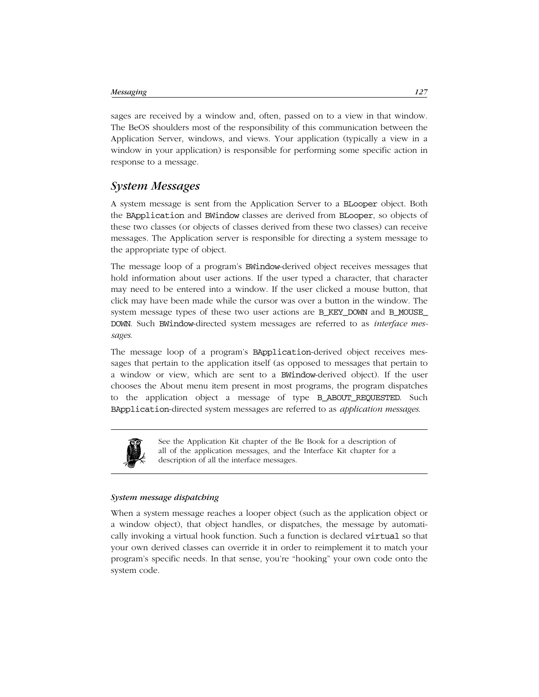sages are received by a window and, often, passed on to a view in that window. The BeOS shoulders most of the responsibility of this communication between the Application Server, windows, and views. Your application (typically a view in a window in your application) is responsible for performing some specific action in response to a message.

#### *System Messages*

A system message is sent from the Application Server to a BLooper object. Both the BApplication and BWindow classes are derived from BLooper, so objects of these two classes (or objects of classes derived from these two classes) can receive messages. The Application server is responsible for directing a system message to the appropriate type of object.

The message loop of a program's BWindow-derived object receives messages that hold information about user actions. If the user typed a character, that character may need to be entered into a window. If the user clicked a mouse button, that click may have been made while the cursor was over a button in the window. The system message types of these two user actions are B\_KEY\_DOWN and B\_MOUSE\_ DOWN. Such BWindow-directed system messages are referred to as *interface messages*.

The message loop of a program's BApplication-derived object receives messages that pertain to the application itself (as opposed to messages that pertain to a window or view, which are sent to a BWindow-derived object). If the user chooses the About menu item present in most programs, the program dispatches to the application object a message of type B\_ABOUT\_REQUESTED. Such BApplication-directed system messages are referred to as *application messages*.



See the Application Kit chapter of the Be Book for a description of all of the application messages, and the Interface Kit chapter for a description of all the interface messages.

#### *System message dispatching*

When a system message reaches a looper object (such as the application object or a window object), that object handles, or dispatches, the message by automatically invoking a virtual hook function. Such a function is declared virtual so that your own derived classes can override it in order to reimplement it to match your program's specific needs. In that sense, you're "hooking" your own code onto the system code.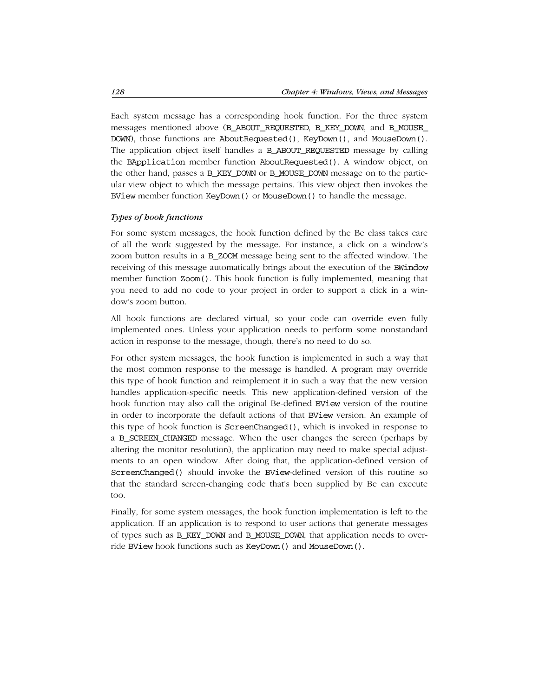Each system message has a corresponding hook function. For the three system messages mentioned above (B\_ABOUT\_REQUESTED, B\_KEY\_DOWN, and B\_MOUSE\_ DOWN), those functions are AboutRequested(), KeyDown(), and MouseDown(). The application object itself handles a B\_ABOUT\_REQUESTED message by calling the BApplication member function AboutRequested(). A window object, on the other hand, passes a B\_KEY\_DOWN or B\_MOUSE\_DOWN message on to the particular view object to which the message pertains. This view object then invokes the BView member function KeyDown() or MouseDown() to handle the message.

#### *Types of hook functions*

For some system messages, the hook function defined by the Be class takes care of all the work suggested by the message. For instance, a click on a window's zoom button results in a B\_ZOOM message being sent to the affected window. The receiving of this message automatically brings about the execution of the BWindow member function Zoom(). This hook function is fully implemented, meaning that you need to add no code to your project in order to support a click in a window's zoom button.

All hook functions are declared virtual, so your code can override even fully implemented ones. Unless your application needs to perform some nonstandard action in response to the message, though, there's no need to do so.

For other system messages, the hook function is implemented in such a way that the most common response to the message is handled. A program may override this type of hook function and reimplement it in such a way that the new version handles application-specific needs. This new application-defined version of the hook function may also call the original Be-defined BView version of the routine in order to incorporate the default actions of that BView version. An example of this type of hook function is ScreenChanged(), which is invoked in response to a B\_SCREEN\_CHANGED message. When the user changes the screen (perhaps by altering the monitor resolution), the application may need to make special adjustments to an open window. After doing that, the application-defined version of ScreenChanged() should invoke the BView-defined version of this routine so that the standard screen-changing code that's been supplied by Be can execute too.

Finally, for some system messages, the hook function implementation is left to the application. If an application is to respond to user actions that generate messages of types such as B\_KEY\_DOWN and B\_MOUSE\_DOWN, that application needs to override BView hook functions such as KeyDown() and MouseDown().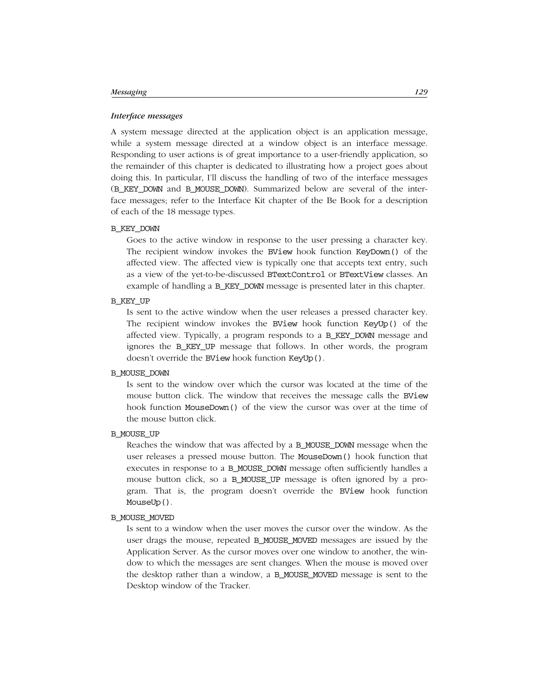#### *Interface messages*

A system message directed at the application object is an application message, while a system message directed at a window object is an interface message. Responding to user actions is of great importance to a user-friendly application, so the remainder of this chapter is dedicated to illustrating how a project goes about doing this. In particular, I'll discuss the handling of two of the interface messages (B\_KEY\_DOWN and B\_MOUSE\_DOWN). Summarized below are several of the interface messages; refer to the Interface Kit chapter of the Be Book for a description of each of the 18 message types.

#### B\_KEY\_DOWN

Goes to the active window in response to the user pressing a character key. The recipient window invokes the BView hook function KeyDown() of the affected view. The affected view is typically one that accepts text entry, such as a view of the yet-to-be-discussed BTextControl or BTextView classes. An example of handling a B\_KEY\_DOWN message is presented later in this chapter.

#### B\_KEY\_UP

Is sent to the active window when the user releases a pressed character key. The recipient window invokes the BView hook function KeyUp() of the affected view. Typically, a program responds to a B\_KEY\_DOWN message and ignores the B\_KEY\_UP message that follows. In other words, the program doesn't override the BView hook function KeyUp().

#### B\_MOUSE\_DOWN

Is sent to the window over which the cursor was located at the time of the mouse button click. The window that receives the message calls the BView hook function MouseDown() of the view the cursor was over at the time of the mouse button click.

#### B\_MOUSE\_UP

Reaches the window that was affected by a B\_MOUSE\_DOWN message when the user releases a pressed mouse button. The MouseDown() hook function that executes in response to a B\_MOUSE\_DOWN message often sufficiently handles a mouse button click, so a B\_MOUSE\_UP message is often ignored by a program. That is, the program doesn't override the BView hook function MouseUp().

#### B\_MOUSE\_MOVED

Is sent to a window when the user moves the cursor over the window. As the user drags the mouse, repeated B\_MOUSE\_MOVED messages are issued by the Application Server. As the cursor moves over one window to another, the window to which the messages are sent changes. When the mouse is moved over the desktop rather than a window, a B\_MOUSE\_MOVED message is sent to the Desktop window of the Tracker.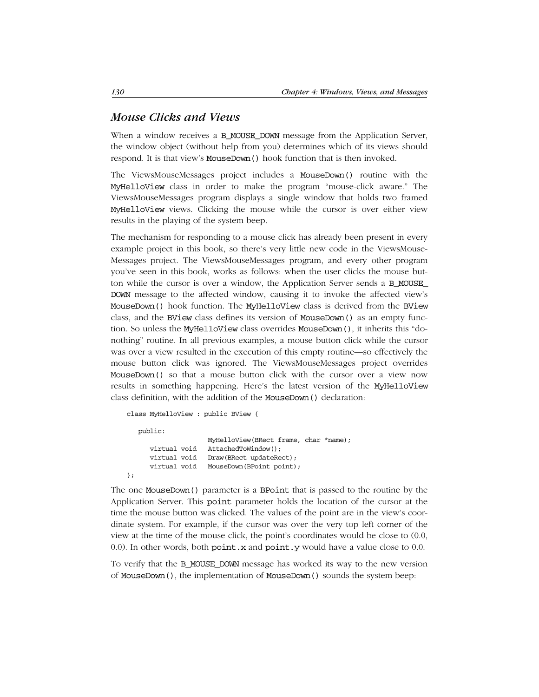#### *Mouse Clicks and Views*

When a window receives a B\_MOUSE\_DOWN message from the Application Server, the window object (without help from you) determines which of its views should respond. It is that view's MouseDown() hook function that is then invoked.

The ViewsMouseMessages project includes a MouseDown() routine with the MyHelloView class in order to make the program "mouse-click aware." The ViewsMouseMessages program displays a single window that holds two framed MyHelloView views. Clicking the mouse while the cursor is over either view results in the playing of the system beep.

The mechanism for responding to a mouse click has already been present in every example project in this book, so there's very little new code in the ViewsMouse-Messages project. The ViewsMouseMessages program, and every other program you've seen in this book, works as follows: when the user clicks the mouse button while the cursor is over a window, the Application Server sends a B\_MOUSE\_ DOWN message to the affected window, causing it to invoke the affected view's MouseDown() hook function. The MyHelloView class is derived from the BView class, and the BView class defines its version of MouseDown() as an empty function. So unless the MyHelloView class overrides MouseDown(), it inherits this "donothing" routine. In all previous examples, a mouse button click while the cursor was over a view resulted in the execution of this empty routine—so effectively the mouse button click was ignored. The ViewsMouseMessages project overrides MouseDown() so that a mouse button click with the cursor over a view now results in something happening. Here's the latest version of the MyHelloView class definition, with the addition of the MouseDown() declaration:

```
class MyHelloView : public BView {
    public:
                      MyHelloView(BRect frame, char *name);
       virtual void AttachedToWindow();
      virtual void Draw(BRect updateRect);
       virtual void MouseDown(BPoint point);
};
```
The one MouseDown() parameter is a BPoint that is passed to the routine by the Application Server. This point parameter holds the location of the cursor at the time the mouse button was clicked. The values of the point are in the view's coordinate system. For example, if the cursor was over the very top left corner of the view at the time of the mouse click, the point's coordinates would be close to (0.0, 0.0). In other words, both point. $x$  and point. $y$  would have a value close to 0.0.

To verify that the B\_MOUSE\_DOWN message has worked its way to the new version of MouseDown(), the implementation of MouseDown() sounds the system beep: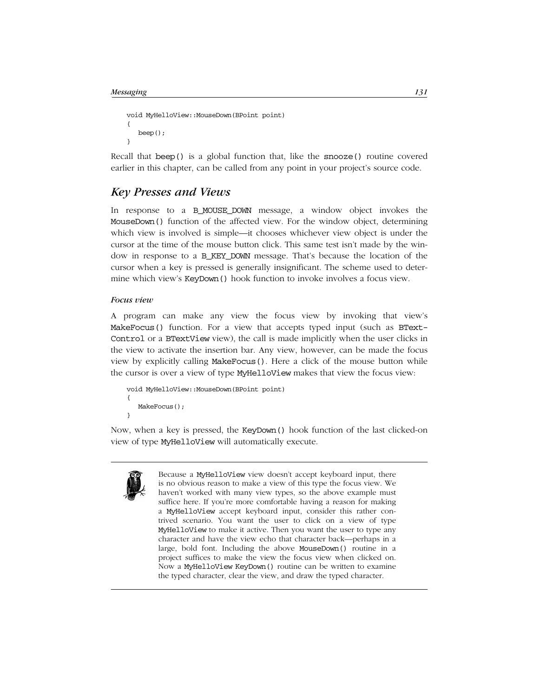```
void MyHelloView::MouseDown(BPoint point)
{
    beep();
}
```
Recall that beep() is a global function that, like the snooze() routine covered earlier in this chapter, can be called from any point in your project's source code.

#### *Key Presses and Views*

In response to a B\_MOUSE\_DOWN message, a window object invokes the MouseDown() function of the affected view. For the window object, determining which view is involved is simple—it chooses whichever view object is under the cursor at the time of the mouse button click. This same test isn't made by the window in response to a B\_KEY\_DOWN message. That's because the location of the cursor when a key is pressed is generally insignificant. The scheme used to determine which view's KeyDown() hook function to invoke involves a focus view.

#### *Focus view*

A program can make any view the focus view by invoking that view's MakeFocus() function. For a view that accepts typed input (such as BText-Control or a BTextView view), the call is made implicitly when the user clicks in the view to activate the insertion bar. Any view, however, can be made the focus view by explicitly calling MakeFocus(). Here a click of the mouse button while the cursor is over a view of type MyHelloView makes that view the focus view:

```
void MyHelloView::MouseDown(BPoint point)
{
   MakeFocus();
}
```
Now, when a key is pressed, the KeyDown() hook function of the last clicked-on view of type MyHelloView will automatically execute.



Because a MyHelloView view doesn't accept keyboard input, there is no obvious reason to make a view of this type the focus view. We haven't worked with many view types, so the above example must suffice here. If you're more comfortable having a reason for making a MyHelloView accept keyboard input, consider this rather contrived scenario. You want the user to click on a view of type MyHelloView to make it active. Then you want the user to type any character and have the view echo that character back—perhaps in a large, bold font. Including the above MouseDown() routine in a project suffices to make the view the focus view when clicked on. Now a MyHelloView KeyDown() routine can be written to examine the typed character, clear the view, and draw the typed character.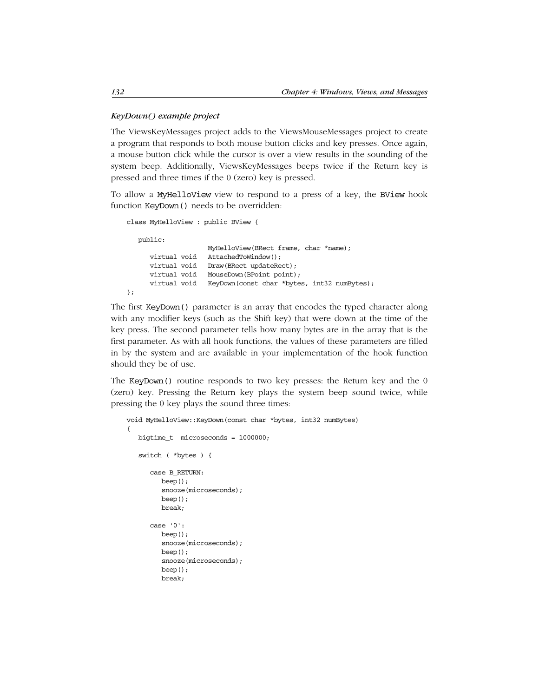#### *KeyDown() example project*

The ViewsKeyMessages project adds to the ViewsMouseMessages project to create a program that responds to both mouse button clicks and key presses. Once again, a mouse button click while the cursor is over a view results in the sounding of the system beep. Additionally, ViewsKeyMessages beeps twice if the Return key is pressed and three times if the 0 (zero) key is pressed.

To allow a MyHelloView view to respond to a press of a key, the BView hook function KeyDown() needs to be overridden:

```
class MyHelloView : public BView {
   public:
                    MyHelloView(BRect frame, char *name);
      virtual void AttachedToWindow();
 virtual void Draw(BRect updateRect);
 virtual void MouseDown(BPoint point);
      virtual void KeyDown(const char *bytes, int32 numBytes);
};
```
The first KeyDown() parameter is an array that encodes the typed character along with any modifier keys (such as the Shift key) that were down at the time of the key press. The second parameter tells how many bytes are in the array that is the first parameter. As with all hook functions, the values of these parameters are filled in by the system and are available in your implementation of the hook function should they be of use.

The KeyDown() routine responds to two key presses: the Return key and the 0 (zero) key. Pressing the Return key plays the system beep sound twice, while pressing the 0 key plays the sound three times:

```
void MyHelloView::KeyDown(const char *bytes, int32 numBytes)
{
   bigtime_t microseconds = 1000000;
    switch ( *bytes ) {
       case B_RETURN:
          beep();
          snooze(microseconds);
          beep();
          break;
       case '0':
          beep();
          snooze(microseconds);
          beep();
          snooze(microseconds);
          beep();
          break;
```